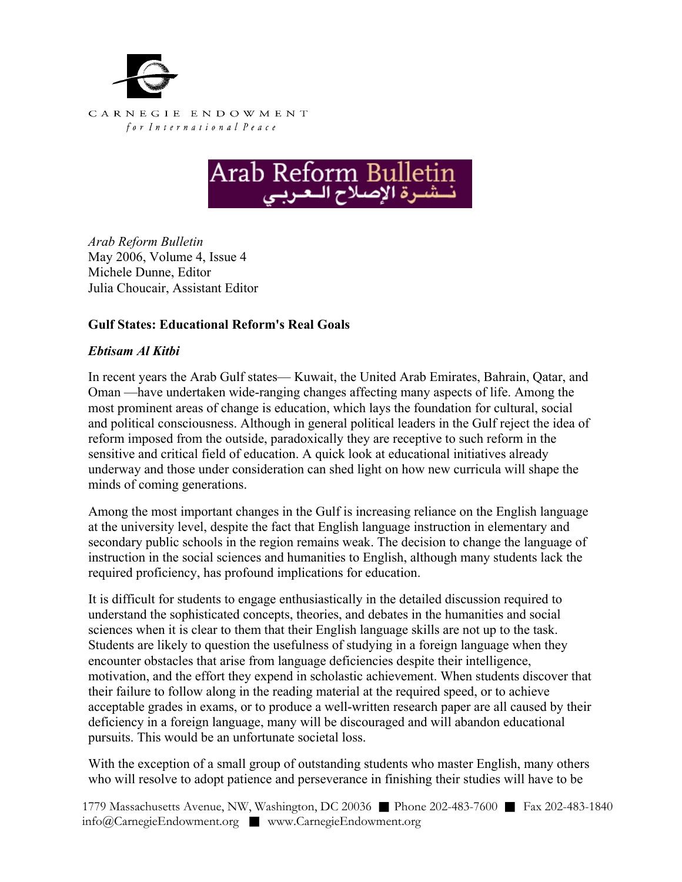



*Arab Reform Bulletin*  May 2006, Volume 4, Issue 4 Michele Dunne, Editor Julia Choucair, Assistant Editor

## **Gulf States: Educational Reform's Real Goals**

## *Ebtisam Al Kitbi*

In recent years the Arab Gulf states— Kuwait, the United Arab Emirates, Bahrain, Qatar, and Oman —have undertaken wide-ranging changes affecting many aspects of life. Among the most prominent areas of change is education, which lays the foundation for cultural, social and political consciousness. Although in general political leaders in the Gulf reject the idea of reform imposed from the outside, paradoxically they are receptive to such reform in the sensitive and critical field of education. A quick look at educational initiatives already underway and those under consideration can shed light on how new curricula will shape the minds of coming generations.

Among the most important changes in the Gulf is increasing reliance on the English language at the university level, despite the fact that English language instruction in elementary and secondary public schools in the region remains weak. The decision to change the language of instruction in the social sciences and humanities to English, although many students lack the required proficiency, has profound implications for education.

It is difficult for students to engage enthusiastically in the detailed discussion required to understand the sophisticated concepts, theories, and debates in the humanities and social sciences when it is clear to them that their English language skills are not up to the task. Students are likely to question the usefulness of studying in a foreign language when they encounter obstacles that arise from language deficiencies despite their intelligence, motivation, and the effort they expend in scholastic achievement. When students discover that their failure to follow along in the reading material at the required speed, or to achieve acceptable grades in exams, or to produce a well-written research paper are all caused by their deficiency in a foreign language, many will be discouraged and will abandon educational pursuits. This would be an unfortunate societal loss.

With the exception of a small group of outstanding students who master English, many others who will resolve to adopt patience and perseverance in finishing their studies will have to be